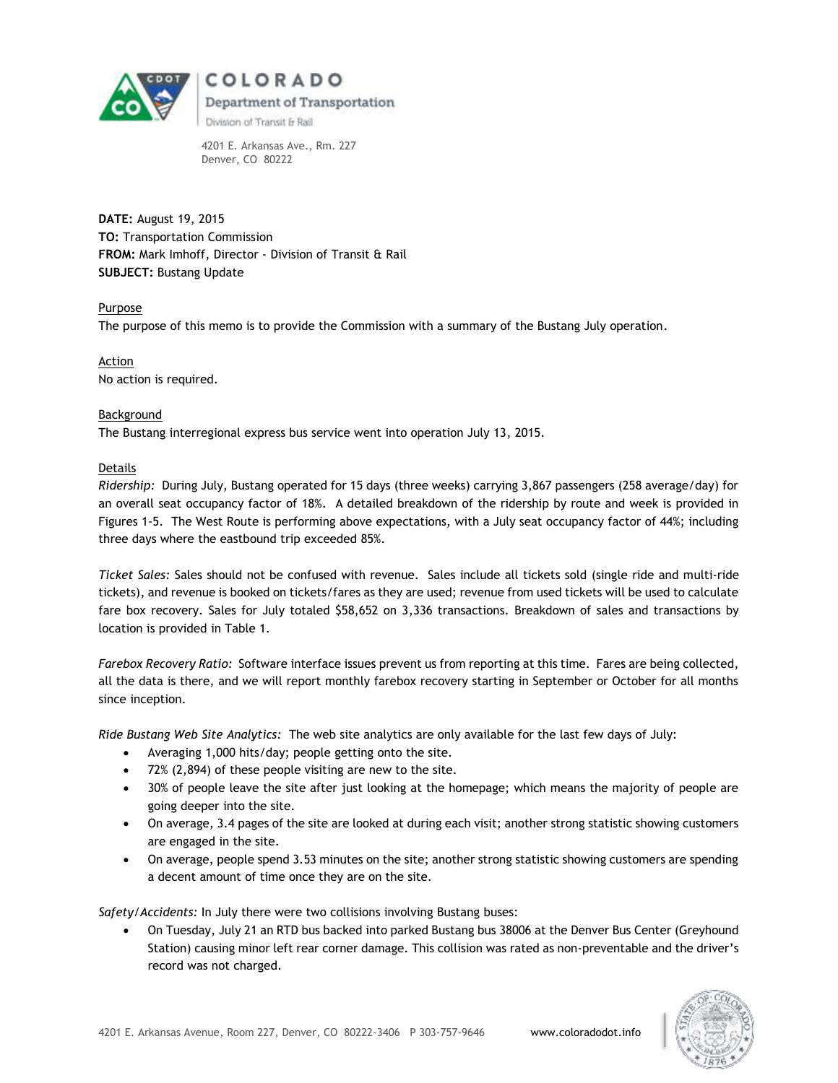

4201 E. Arkansas Ave., Rm. 227 Denver, CO 80222

**DATE:** August 19, 2015 **TO:** Transportation Commission **FROM:** Mark Imhoff, Director - Division of Transit & Rail **SUBJECT:** Bustang Update

#### Purpose

The purpose of this memo is to provide the Commission with a summary of the Bustang July operation.

Action No action is required.

#### Background The Bustang interregional express bus service went into operation July 13, 2015.

#### Details

*Ridership:* During July, Bustang operated for 15 days (three weeks) carrying 3,867 passengers (258 average/day) for an overall seat occupancy factor of 18%. A detailed breakdown of the ridership by route and week is provided in Figures 1-5. The West Route is performing above expectations, with a July seat occupancy factor of 44%; including three days where the eastbound trip exceeded 85%.

*Ticket Sales:* Sales should not be confused with revenue. Sales include all tickets sold (single ride and multi-ride tickets), and revenue is booked on tickets/fares as they are used; revenue from used tickets will be used to calculate fare box recovery. Sales for July totaled \$58,652 on 3,336 transactions. Breakdown of sales and transactions by location is provided in Table 1.

*Farebox Recovery Ratio:* Software interface issues prevent us from reporting at this time. Fares are being collected, all the data is there, and we will report monthly farebox recovery starting in September or October for all months since inception.

*Ride Bustang Web Site Analytics:* The web site analytics are only available for the last few days of July:

- Averaging 1,000 hits/day; people getting onto the site.
- 72% (2,894) of these people visiting are new to the site.
- 30% of people leave the site after just looking at the homepage; which means the majority of people are going deeper into the site.
- On average, 3.4 pages of the site are looked at during each visit; another strong statistic showing customers are engaged in the site.
- On average, people spend 3.53 minutes on the site; another strong statistic showing customers are spending a decent amount of time once they are on the site.

*Safety/Accidents:* In July there were two collisions involving Bustang buses:

 On Tuesday, July 21 an RTD bus backed into parked Bustang bus 38006 at the Denver Bus Center (Greyhound Station) causing minor left rear corner damage. This collision was rated as non-preventable and the driver's record was not charged.

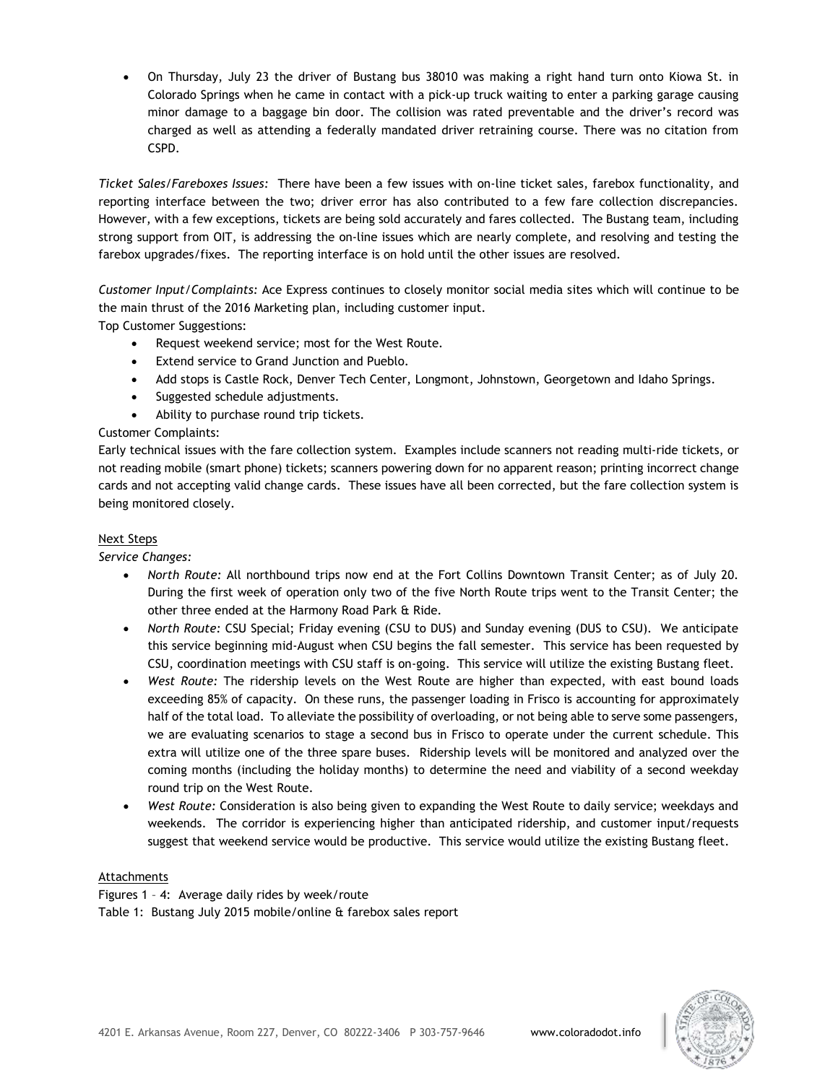On Thursday, July 23 the driver of Bustang bus 38010 was making a right hand turn onto Kiowa St. in Colorado Springs when he came in contact with a pick-up truck waiting to enter a parking garage causing minor damage to a baggage bin door. The collision was rated preventable and the driver's record was charged as well as attending a federally mandated driver retraining course. There was no citation from CSPD.

*Ticket Sales/Fareboxes Issues:* There have been a few issues with on-line ticket sales, farebox functionality, and reporting interface between the two; driver error has also contributed to a few fare collection discrepancies. However, with a few exceptions, tickets are being sold accurately and fares collected. The Bustang team, including strong support from OIT, is addressing the on-line issues which are nearly complete, and resolving and testing the farebox upgrades/fixes. The reporting interface is on hold until the other issues are resolved.

*Customer Input/Complaints:* Ace Express continues to closely monitor social media sites which will continue to be the main thrust of the 2016 Marketing plan, including customer input.

Top Customer Suggestions:

- Request weekend service; most for the West Route.
- Extend service to Grand Junction and Pueblo.
- Add stops is Castle Rock, Denver Tech Center, Longmont, Johnstown, Georgetown and Idaho Springs.
- Suggested schedule adjustments.
- Ability to purchase round trip tickets.

## Customer Complaints:

Early technical issues with the fare collection system. Examples include scanners not reading multi-ride tickets, or not reading mobile (smart phone) tickets; scanners powering down for no apparent reason; printing incorrect change cards and not accepting valid change cards. These issues have all been corrected, but the fare collection system is being monitored closely.

#### Next Steps

*Service Changes:*

- *North Route:* All northbound trips now end at the Fort Collins Downtown Transit Center; as of July 20. During the first week of operation only two of the five North Route trips went to the Transit Center; the other three ended at the Harmony Road Park & Ride.
- *North Route:* CSU Special; Friday evening (CSU to DUS) and Sunday evening (DUS to CSU). We anticipate this service beginning mid-August when CSU begins the fall semester. This service has been requested by CSU, coordination meetings with CSU staff is on-going. This service will utilize the existing Bustang fleet.
- *West Route:* The ridership levels on the West Route are higher than expected, with east bound loads exceeding 85% of capacity. On these runs, the passenger loading in Frisco is accounting for approximately half of the total load. To alleviate the possibility of overloading, or not being able to serve some passengers, we are evaluating scenarios to stage a second bus in Frisco to operate under the current schedule. This extra will utilize one of the three spare buses. Ridership levels will be monitored and analyzed over the coming months (including the holiday months) to determine the need and viability of a second weekday round trip on the West Route.
- *West Route:* Consideration is also being given to expanding the West Route to daily service; weekdays and weekends. The corridor is experiencing higher than anticipated ridership, and customer input/requests suggest that weekend service would be productive. This service would utilize the existing Bustang fleet.

#### Attachments

Figures 1 – 4: Average daily rides by week/route Table 1: Bustang July 2015 mobile/online & farebox sales report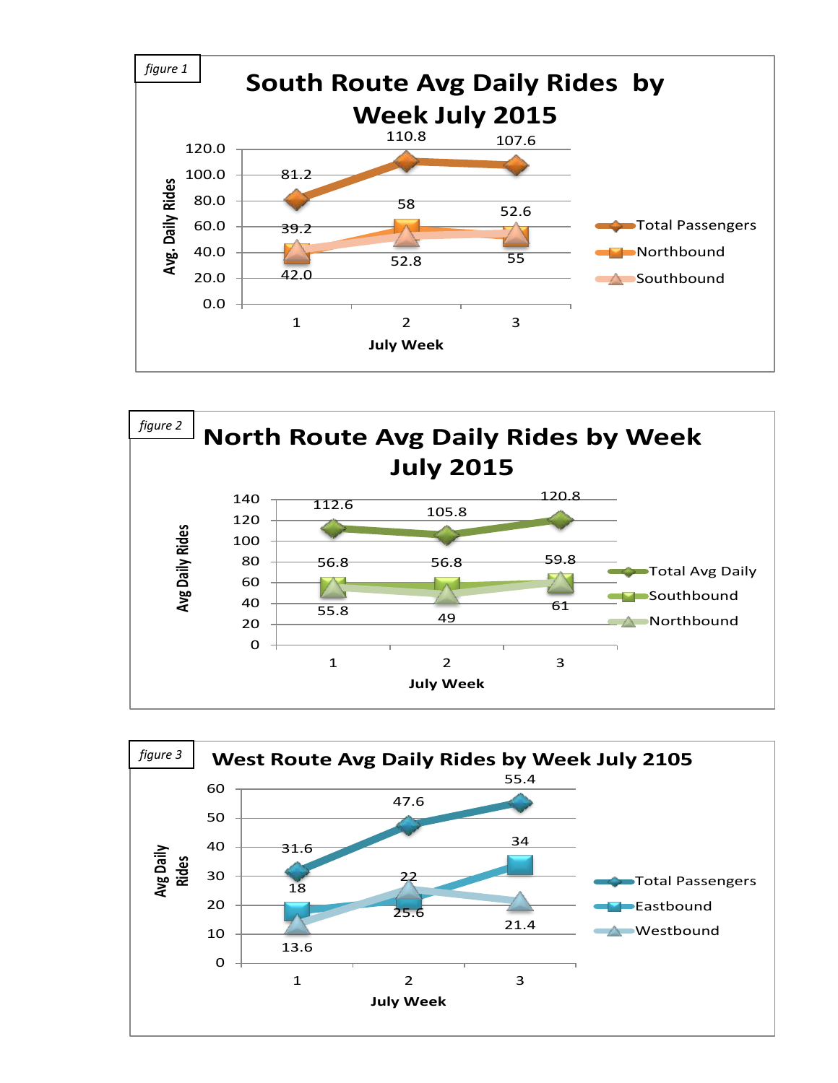



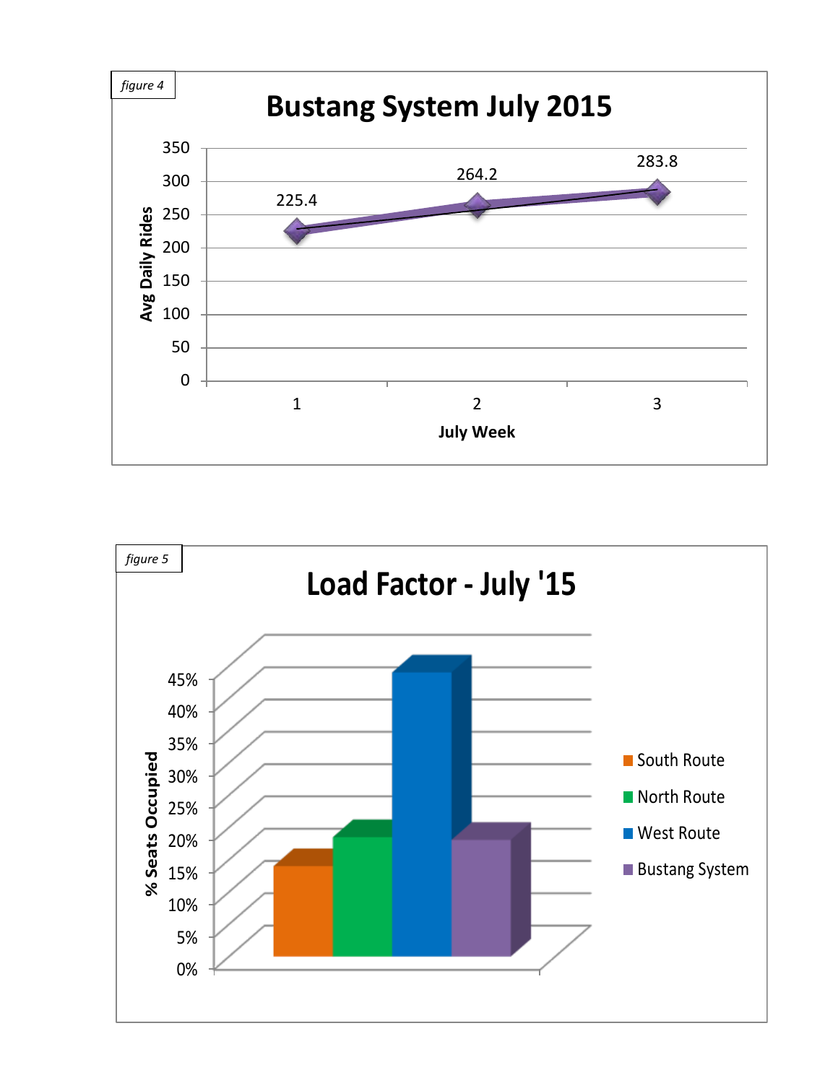

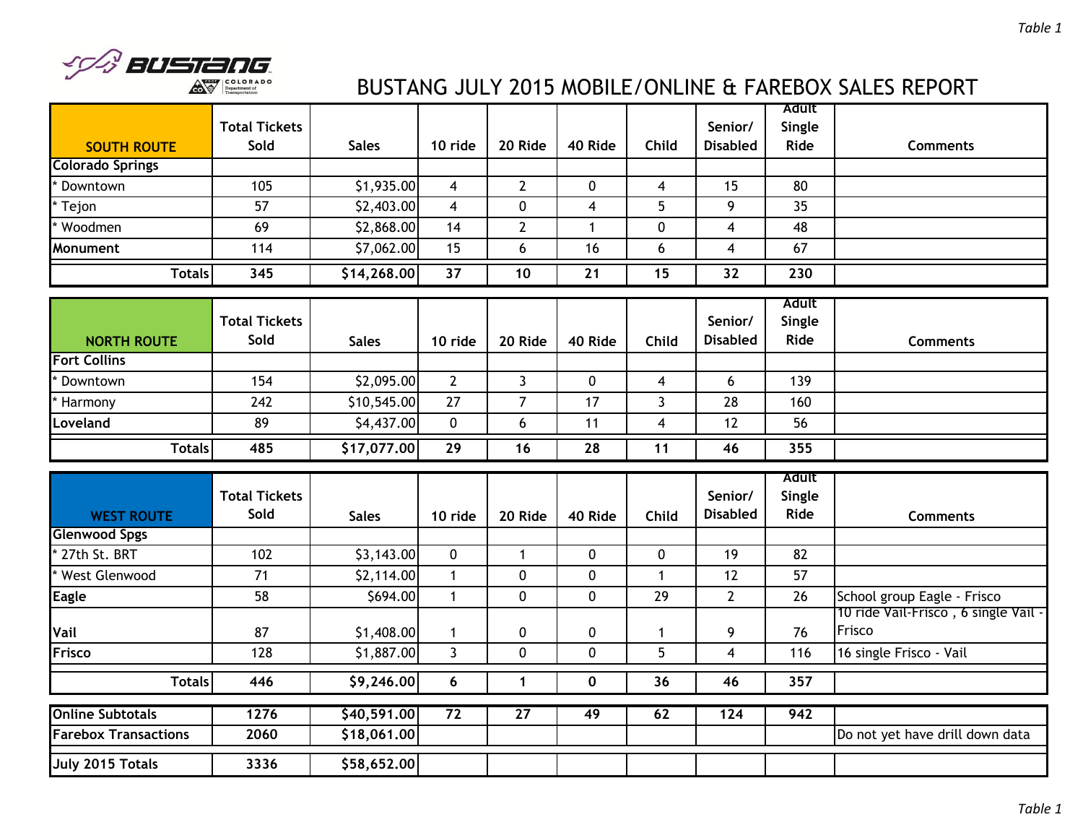

# BUSTANG JULY 2015 MOBILE/ONLINE & FAREBOX SALES REPORT

| <b>SOUTH ROUTE</b>            | <b>Total Tickets</b><br>Sold | <b>Sales</b>           | 10 ride                      | 20 Ride                    | 40 Ride                    | Child                   | Senior/<br><b>Disabled</b> | Adult<br>Single<br>Ride | <b>Comments</b>                                |
|-------------------------------|------------------------------|------------------------|------------------------------|----------------------------|----------------------------|-------------------------|----------------------------|-------------------------|------------------------------------------------|
| <b>Colorado Springs</b>       |                              |                        |                              |                            |                            |                         |                            |                         |                                                |
| * Downtown                    | 105                          | \$1,935.00             | $\overline{\mathbf{4}}$      | $\mathbf{2}$               | $\mathbf 0$                | $\overline{\mathbf{4}}$ | 15                         | 80                      |                                                |
| * Tejon                       | 57                           | \$2,403.00             | $\overline{\mathbf{4}}$      | 0                          | $\overline{4}$             | 5                       | 9                          | 35                      |                                                |
| * Woodmen                     | 69                           | \$2,868.00             | 14                           | $\overline{2}$             | $\mathbf{1}$               | 0                       | 4                          | 48                      |                                                |
| Monument                      | 114                          | \$7,062.00             | 15                           | 6                          | 16                         | 6                       | 4                          | 67                      |                                                |
| <b>Totals</b>                 | 345                          | \$14,268.00            | 37                           | 10                         | 21                         | 15                      | 32                         | 230                     |                                                |
| <b>NORTH ROUTE</b>            | <b>Total Tickets</b><br>Sold | <b>Sales</b>           | 10 ride                      | 20 Ride                    | 40 Ride                    | Child                   | Senior/<br><b>Disabled</b> | Adult<br>Single<br>Ride | <b>Comments</b>                                |
| <b>Fort Collins</b>           |                              |                        |                              |                            |                            |                         |                            |                         |                                                |
| * Downtown                    | 154                          | \$2,095.00             | $\overline{2}$               | $\overline{3}$             | $\mathbf 0$                | $\overline{4}$          | 6                          | 139                     |                                                |
| * Harmony                     | 242                          | \$10,545.00            | 27                           | $\overline{7}$             | 17                         | $\overline{3}$          | 28                         | 160                     |                                                |
| Loveland                      | 89                           | \$4,437.00             | $\mathbf 0$                  | 6                          | 11                         | $\overline{4}$          | 12                         | 56                      |                                                |
| <b>Totals</b>                 | 485                          | \$17,077.00            | 29                           | 16                         | 28                         | 11                      | 46                         | 355                     |                                                |
| <b>WEST ROUTE</b>             | <b>Total Tickets</b><br>Sold | <b>Sales</b>           | 10 ride                      | 20 Ride                    | 40 Ride                    | Child                   | Senior/<br><b>Disabled</b> | Adult<br>Single<br>Ride | <b>Comments</b>                                |
| <b>Glenwood Spgs</b>          |                              |                        |                              |                            |                            |                         |                            |                         |                                                |
| * 27th St. BRT                | 102                          | \$3,143.00             | $\mathbf 0$                  | $\mathbf{1}$               | $\mathbf 0$                | 0                       | 19                         | 82                      |                                                |
| West Glenwood<br><b>Eagle</b> | 71<br>58                     | \$2,114.00<br>\$694.00 | $\mathbf{1}$<br>$\mathbf{1}$ | $\mathbf 0$<br>$\mathbf 0$ | $\mathbf 0$<br>$\mathbf 0$ | $\mathbf 1$<br>29       | 12<br>$\overline{2}$       | 57<br>26                | School group Eagle - Frisco                    |
| Vail                          | 87                           | \$1,408.00             | $\mathbf{1}$                 | 0                          | $\pmb{0}$                  | -1                      | 9                          | 76                      | 10 ride Vail-Frisco, 6 single Vail -<br>Frisco |
| Frisco                        | 128                          | \$1,887.00             | $\overline{3}$               | 0                          | $\mathbf 0$                | 5                       | 4                          | 116                     | 16 single Frisco - Vail                        |
| <b>Totals</b>                 | 446                          | \$9,246.00             | 6                            | $\mathbf{1}$               | $\mathbf 0$                | 36                      | 46                         | 357                     |                                                |
| <b>Online Subtotals</b>       | 1276                         | \$40,591.00            | $\overline{72}$              | $\overline{27}$            | 49                         | 62                      | $\overline{124}$           | 942                     |                                                |
| <b>Farebox Transactions</b>   | 2060                         | \$18,061.00            |                              |                            |                            |                         |                            |                         | Do not yet have drill down data                |
| July 2015 Totals              | 3336                         | \$58,652.00            |                              |                            |                            |                         |                            |                         |                                                |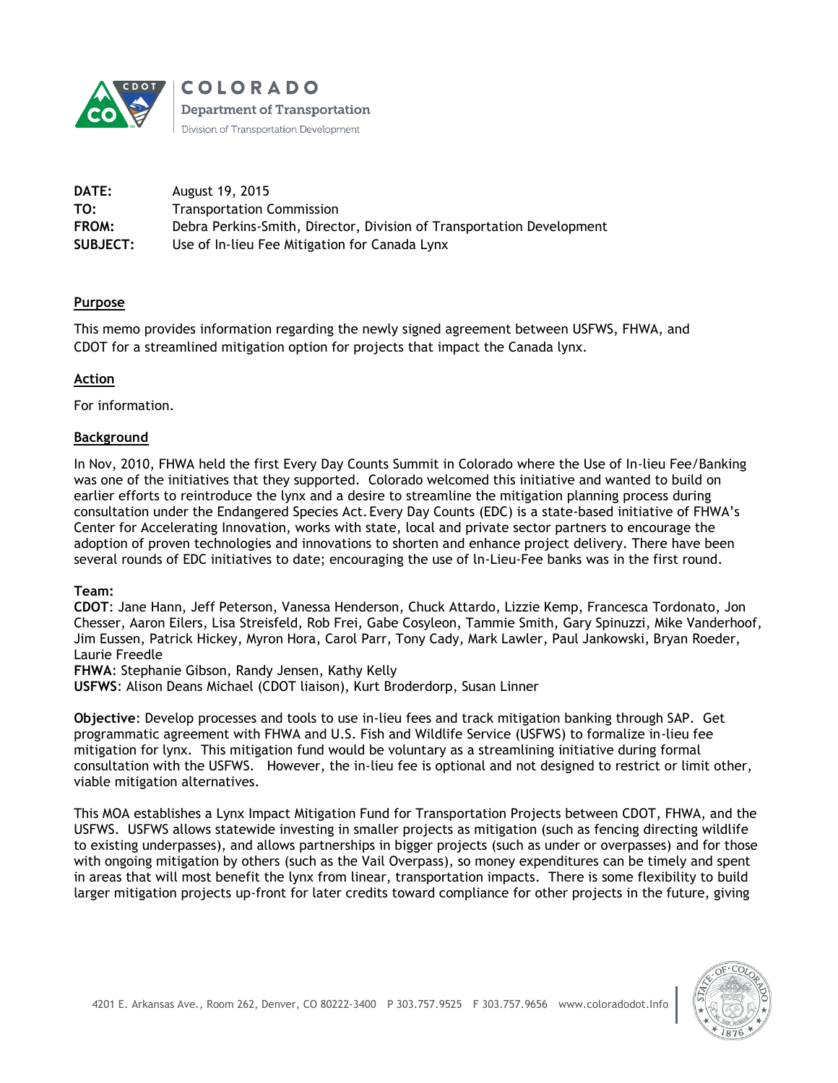

**COLORADO Department of Transportation** Division of Transportation Development

| DATE:           | August 19, 2015                                                       |
|-----------------|-----------------------------------------------------------------------|
| TO:             | <b>Transportation Commission</b>                                      |
| FROM:           | Debra Perkins-Smith, Director, Division of Transportation Development |
| <b>SUBJECT:</b> | Use of In-lieu Fee Mitigation for Canada Lynx                         |

# **Purpose**

This memo provides information regarding the newly signed agreement between USFWS, FHWA, and CDOT for a streamlined mitigation option for projects that impact the Canada lynx.

# **Action**

For information.

# **Background**

In Nov, 2010, FHWA held the first Every Day Counts Summit in Colorado where the Use of In-lieu Fee/Banking was one of the initiatives that they supported. Colorado welcomed this initiative and wanted to build on earlier efforts to reintroduce the lynx and a desire to streamline the mitigation planning process during consultation under the Endangered Species Act.Every Day Counts (EDC) is a state-based initiative of FHWA's Center for Accelerating Innovation, works with state, local and private sector partners to encourage the adoption of proven technologies and innovations to shorten and enhance project delivery. There have been several rounds of EDC initiatives to date; encouraging the use of ln-Lieu-Fee banks was in the first round.

# **Team:**

**CDOT**: Jane Hann, Jeff Peterson, Vanessa Henderson, Chuck Attardo, Lizzie Kemp, Francesca Tordonato, Jon Chesser, Aaron Eilers, Lisa Streisfeld, Rob Frei, Gabe Cosyleon, Tammie Smith, Gary Spinuzzi, Mike Vanderhoof, Jim Eussen, Patrick Hickey, Myron Hora, Carol Parr, Tony Cady, Mark Lawler, Paul Jankowski, Bryan Roeder, Laurie Freedle

**FHWA**: Stephanie Gibson, Randy Jensen, Kathy Kelly

**USFWS**: Alison Deans Michael (CDOT liaison), Kurt Broderdorp, Susan Linner

**Objective**: Develop processes and tools to use in-lieu fees and track mitigation banking through SAP. Get programmatic agreement with FHWA and U.S. Fish and Wildlife Service (USFWS) to formalize in-lieu fee mitigation for lynx. This mitigation fund would be voluntary as a streamlining initiative during formal consultation with the USFWS. However, the in-lieu fee is optional and not designed to restrict or limit other, viable mitigation alternatives.

This MOA establishes a Lynx Impact Mitigation Fund for Transportation Projects between CDOT, FHWA, and the USFWS. USFWS allows statewide investing in smaller projects as mitigation (such as fencing directing wildlife to existing underpasses), and allows partnerships in bigger projects (such as under or overpasses) and for those with ongoing mitigation by others (such as the Vail Overpass), so money expenditures can be timely and spent in areas that will most benefit the lynx from linear, transportation impacts. There is some flexibility to build larger mitigation projects up-front for later credits toward compliance for other projects in the future, giving

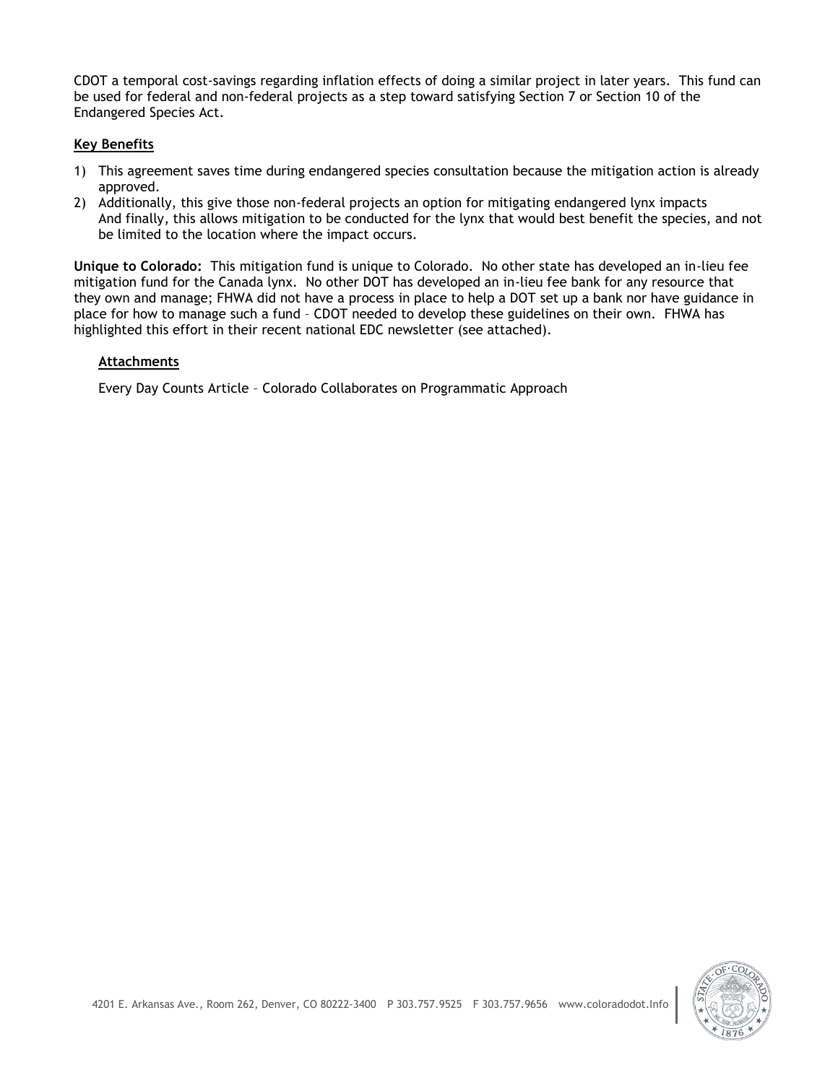CDOT a temporal cost-savings regarding inflation effects of doing a similar project in later years. This fund can be used for federal and non-federal projects as a step toward satisfying Section 7 or Section 10 of the Endangered Species Act.

# **Key Benefits**

- 1) This agreement saves time during endangered species consultation because the mitigation action is already approved.
- 2) Additionally, this give those non-federal projects an option for mitigating endangered lynx impacts And finally, this allows mitigation to be conducted for the lynx that would best benefit the species, and not be limited to the location where the impact occurs.

**Unique to Colorado:** This mitigation fund is unique to Colorado. No other state has developed an in-lieu fee mitigation fund for the Canada lynx. No other DOT has developed an in-lieu fee bank for any resource that they own and manage; FHWA did not have a process in place to help a DOT set up a bank nor have guidance in place for how to manage such a fund – CDOT needed to develop these guidelines on their own. FHWA has highlighted this effort in their recent national EDC newsletter (see attached).

## **Attachments**

Every Day Counts Article – Colorado Collaborates on Programmatic Approach

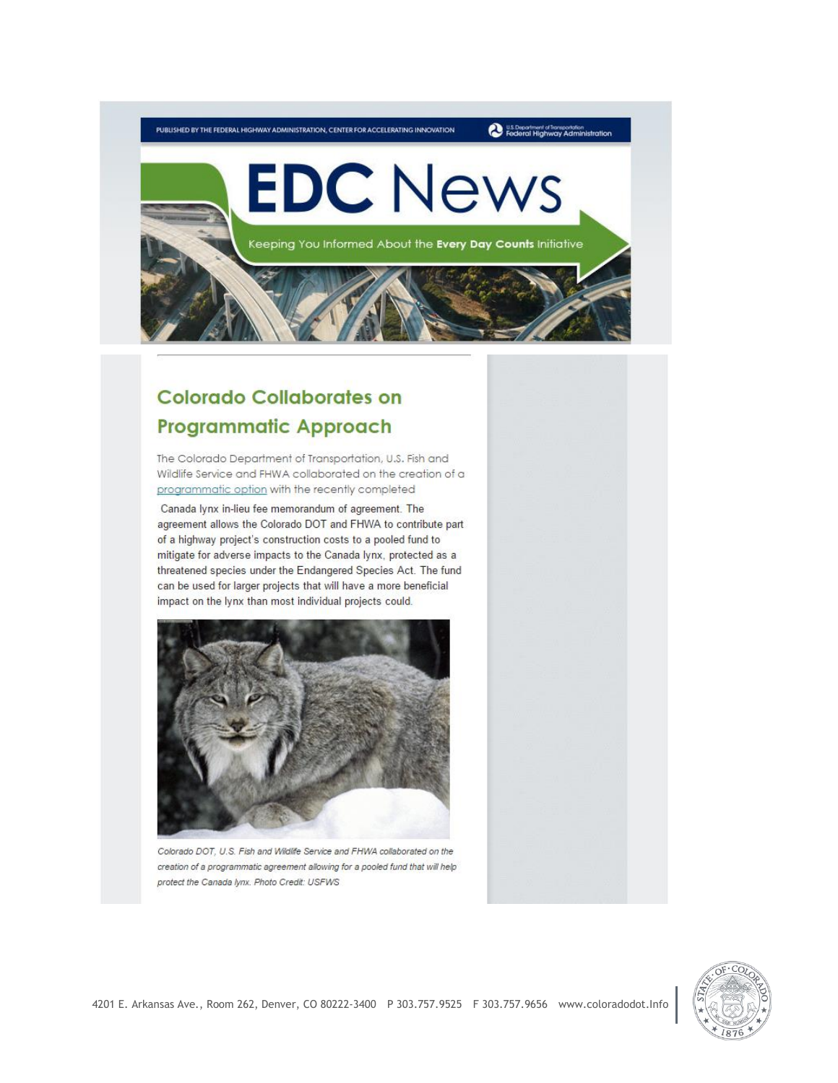

# **Colorado Collaborates on Programmatic Approach**

The Colorado Department of Transportation, U.S. Fish and Wildlife Service and FHWA collaborated on the creation of a programmatic option with the recently completed

Canada lynx in-lieu fee memorandum of agreement. The agreement allows the Colorado DOT and FHWA to contribute part of a highway project's construction costs to a pooled fund to mitigate for adverse impacts to the Canada lynx, protected as a threatened species under the Endangered Species Act. The fund can be used for larger projects that will have a more beneficial impact on the lynx than most individual projects could.



Colorado DOT, U.S. Fish and Wildlife Service and FHWA collaborated on the creation of a programmatic agreement allowing for a pooled fund that will help protect the Canada Iynx. Photo Credit: USFWS

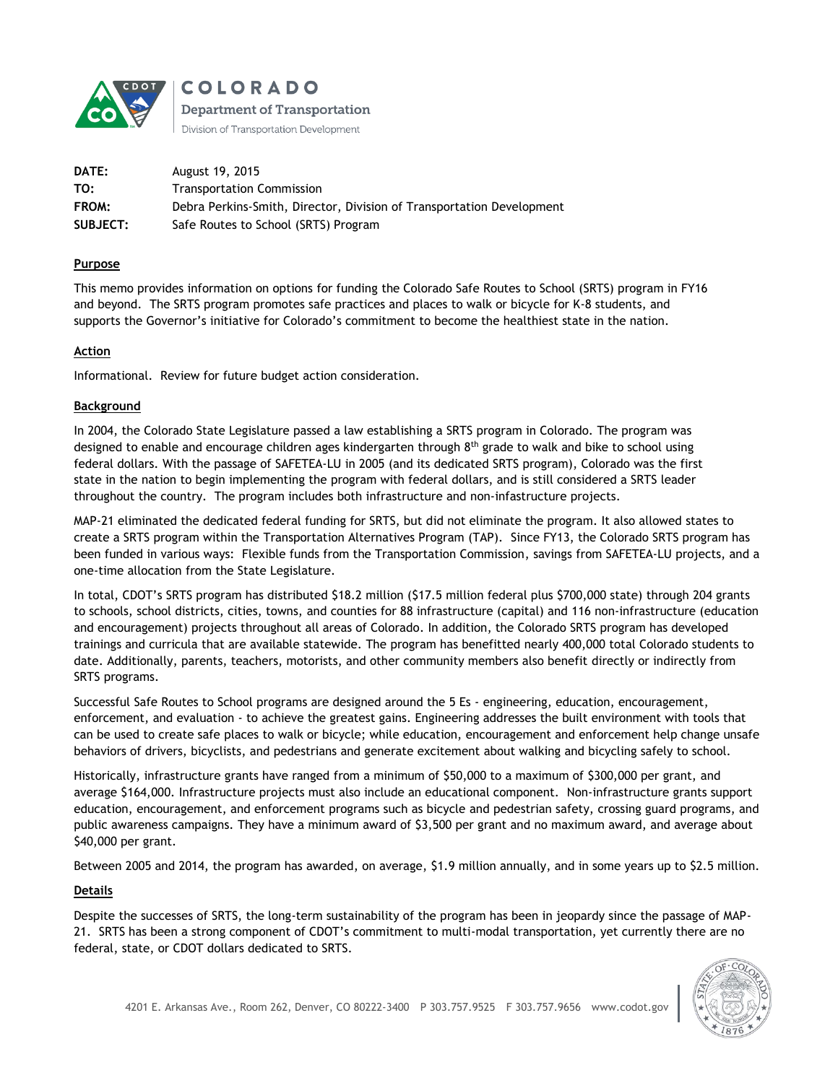

**COLORADO Department of Transportation** 

Division of Transportation Development

| <b>DATE:</b>    | August 19, 2015                                                       |
|-----------------|-----------------------------------------------------------------------|
| TO:             | <b>Transportation Commission</b>                                      |
| FROM:           | Debra Perkins-Smith, Director, Division of Transportation Development |
| <b>SUBJECT:</b> | Safe Routes to School (SRTS) Program                                  |

#### **Purpose**

This memo provides information on options for funding the Colorado Safe Routes to School (SRTS) program in FY16 and beyond. The SRTS program promotes safe practices and places to walk or bicycle for K-8 students, and supports the Governor's initiative for Colorado's commitment to become the healthiest state in the nation.

#### **Action**

Informational. Review for future budget action consideration.

#### **Background**

In 2004, the Colorado State Legislature passed a law establishing a SRTS program in Colorado. The program was designed to enable and encourage children ages kindergarten through  $8<sup>th</sup>$  grade to walk and bike to school using federal dollars. With the passage of SAFETEA-LU in 2005 (and its dedicated SRTS program), Colorado was the first state in the nation to begin implementing the program with federal dollars, and is still considered a SRTS leader throughout the country. The program includes both infrastructure and non-infastructure projects.

MAP-21 eliminated the dedicated federal funding for SRTS, but did not eliminate the program. It also allowed states to create a SRTS program within the Transportation Alternatives Program (TAP). Since FY13, the Colorado SRTS program has been funded in various ways: Flexible funds from the Transportation Commission, savings from SAFETEA-LU projects, and a one-time allocation from the State Legislature.

In total, CDOT's SRTS program has distributed \$18.2 million (\$17.5 million federal plus \$700,000 state) through 204 grants to schools, school districts, cities, towns, and counties for 88 infrastructure (capital) and 116 non-infrastructure (education and encouragement) projects throughout all areas of Colorado. In addition, the Colorado SRTS program has developed trainings and curricula that are available statewide. The program has benefitted nearly 400,000 total Colorado students to date. Additionally, parents, teachers, motorists, and other community members also benefit directly or indirectly from SRTS programs.

Successful Safe Routes to School programs are designed around the 5 Es - engineering, education, encouragement, enforcement, and evaluation - to achieve the greatest gains. Engineering addresses the built environment with tools that can be used to create safe places to walk or bicycle; while education, encouragement and enforcement help change unsafe behaviors of drivers, bicyclists, and pedestrians and generate excitement about walking and bicycling safely to school.

Historically, infrastructure grants have ranged from a minimum of \$50,000 to a maximum of \$300,000 per grant, and average \$164,000. Infrastructure projects must also include an educational component. Non-infrastructure grants support education, encouragement, and enforcement programs such as bicycle and pedestrian safety, crossing guard programs, and public awareness campaigns. They have a minimum award of \$3,500 per grant and no maximum award, and average about \$40,000 per grant.

Between 2005 and 2014, the program has awarded, on average, \$1.9 million annually, and in some years up to \$2.5 million.

#### **Details**

Despite the successes of SRTS, the long-term sustainability of the program has been in jeopardy since the passage of MAP-21. SRTS has been a strong component of CDOT's commitment to multi-modal transportation, yet currently there are no federal, state, or CDOT dollars dedicated to SRTS.

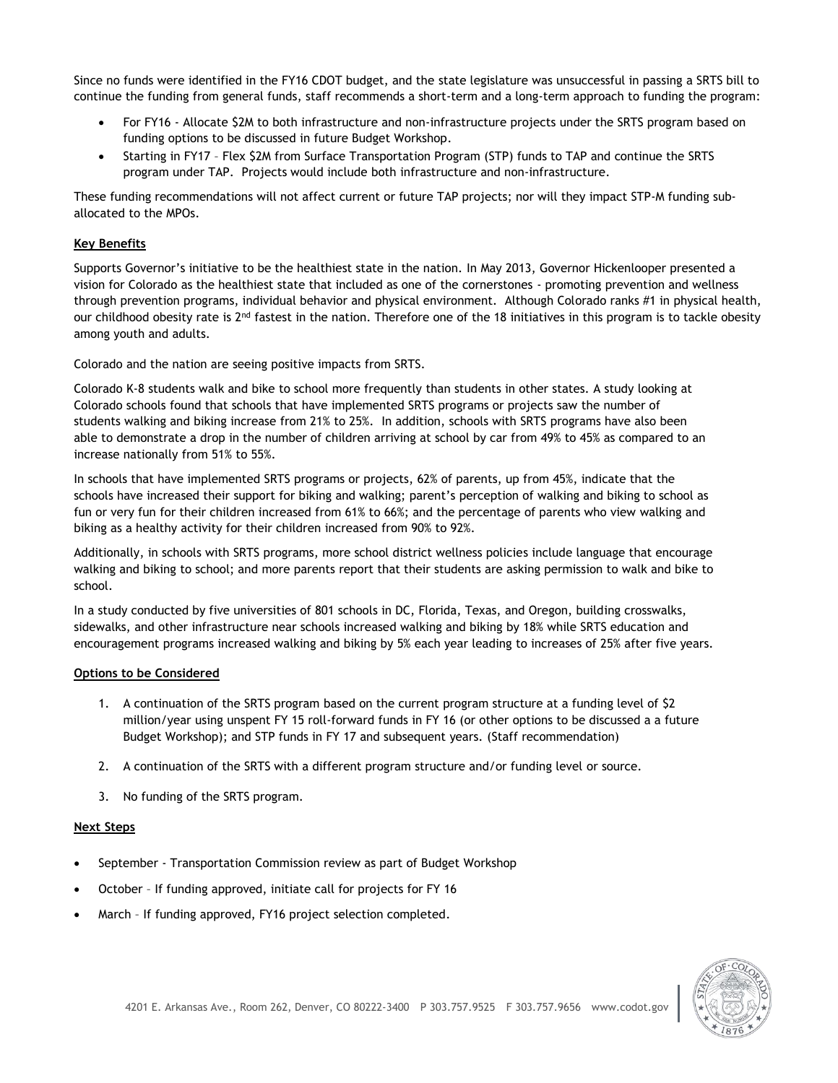Since no funds were identified in the FY16 CDOT budget, and the state legislature was unsuccessful in passing a SRTS bill to continue the funding from general funds, staff recommends a short-term and a long-term approach to funding the program:

- For FY16 Allocate \$2M to both infrastructure and non-infrastructure projects under the SRTS program based on funding options to be discussed in future Budget Workshop.
- Starting in FY17 Flex \$2M from Surface Transportation Program (STP) funds to TAP and continue the SRTS program under TAP. Projects would include both infrastructure and non-infrastructure.

These funding recommendations will not affect current or future TAP projects; nor will they impact STP-M funding suballocated to the MPOs.

#### **Key Benefits**

Supports Governor's initiative to be the healthiest state in the nation. In May 2013, Governor Hickenlooper presented a vision for Colorado as the healthiest state that included as one of the cornerstones - promoting prevention and wellness through prevention programs, individual behavior and physical environment. Although Colorado ranks #1 in physical health, our childhood obesity rate is 2<sup>nd</sup> fastest in the nation. Therefore one of the 18 initiatives in this program is to tackle obesity among youth and adults.

Colorado and the nation are seeing positive impacts from SRTS.

Colorado K-8 students walk and bike to school more frequently than students in other states. A study looking at Colorado schools found that schools that have implemented SRTS programs or projects saw the number of students walking and biking increase from 21% to 25%. In addition, schools with SRTS programs have also been able to demonstrate a drop in the number of children arriving at school by car from 49% to 45% as compared to an increase nationally from 51% to 55%.

In schools that have implemented SRTS programs or projects, 62% of parents, up from 45%, indicate that the schools have increased their support for biking and walking; parent's perception of walking and biking to school as fun or very fun for their children increased from 61% to 66%; and the percentage of parents who view walking and biking as a healthy activity for their children increased from 90% to 92%.

Additionally, in schools with SRTS programs, more school district wellness policies include language that encourage walking and biking to school; and more parents report that their students are asking permission to walk and bike to school.

In a study conducted by five universities of 801 schools in DC, Florida, Texas, and Oregon, building crosswalks, sidewalks, and other infrastructure near schools increased walking and biking by 18% while SRTS education and encouragement programs increased walking and biking by 5% each year leading to increases of 25% after five years.

#### **Options to be Considered**

- 1. A continuation of the SRTS program based on the current program structure at a funding level of \$2 million/year using unspent FY 15 roll-forward funds in FY 16 (or other options to be discussed a a future Budget Workshop); and STP funds in FY 17 and subsequent years. (Staff recommendation)
- 2. A continuation of the SRTS with a different program structure and/or funding level or source.
- 3. No funding of the SRTS program.

#### **Next Steps**

- September Transportation Commission review as part of Budget Workshop
- October If funding approved, initiate call for projects for FY 16
- March If funding approved, FY16 project selection completed.

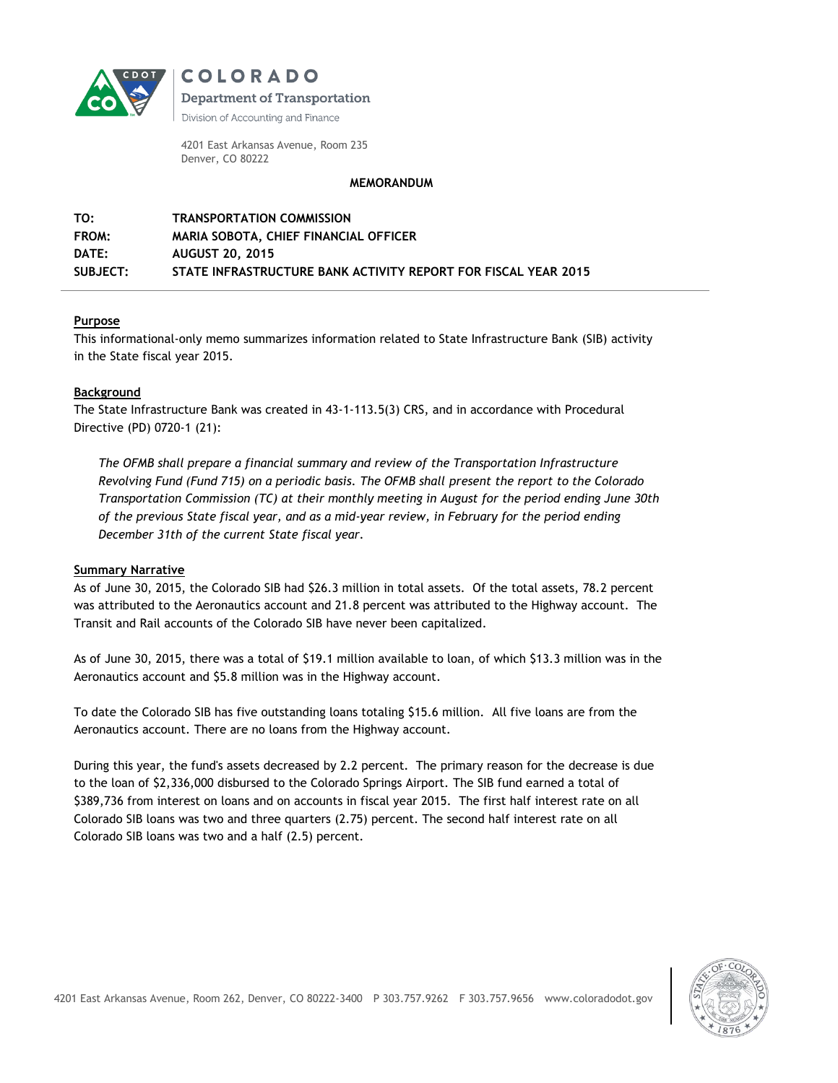

**COLORADO** 

**Department of Transportation** 

Division of Accounting and Finance

4201 East Arkansas Avenue, Room 235 Denver, CO 80222

#### **MEMORANDUM**

| TO:             | <b>TRANSPORTATION COMMISSION</b>                               |
|-----------------|----------------------------------------------------------------|
| <b>FROM:</b>    | MARIA SOBOTA. CHIEF FINANCIAL OFFICER                          |
| DATE:           | <b>AUGUST 20. 2015</b>                                         |
| <b>SUBJECT:</b> | STATE INFRASTRUCTURE BANK ACTIVITY REPORT FOR FISCAL YEAR 2015 |

#### **Purpose**

This informational-only memo summarizes information related to State Infrastructure Bank (SIB) activity in the State fiscal year 2015.

#### **Background**

The State Infrastructure Bank was created in 43-1-113.5(3) CRS, and in accordance with Procedural Directive (PD) 0720-1 (21):

*The OFMB shall prepare a financial summary and review of the Transportation Infrastructure Revolving Fund (Fund 715) on a periodic basis. The OFMB shall present the report to the Colorado Transportation Commission (TC) at their monthly meeting in August for the period ending June 30th of the previous State fiscal year, and as a mid-year review, in February for the period ending December 31th of the current State fiscal year.*

#### **Summary Narrative**

As of June 30, 2015, the Colorado SIB had \$26.3 million in total assets. Of the total assets, 78.2 percent was attributed to the Aeronautics account and 21.8 percent was attributed to the Highway account. The Transit and Rail accounts of the Colorado SIB have never been capitalized.

As of June 30, 2015, there was a total of \$19.1 million available to loan, of which \$13.3 million was in the Aeronautics account and \$5.8 million was in the Highway account.

To date the Colorado SIB has five outstanding loans totaling \$15.6 million. All five loans are from the Aeronautics account. There are no loans from the Highway account.

During this year, the fund's assets decreased by 2.2 percent. The primary reason for the decrease is due to the loan of \$2,336,000 disbursed to the Colorado Springs Airport. The SIB fund earned a total of \$389,736 from interest on loans and on accounts in fiscal year 2015. The first half interest rate on all Colorado SIB loans was two and three quarters (2.75) percent. The second half interest rate on all Colorado SIB loans was two and a half (2.5) percent.

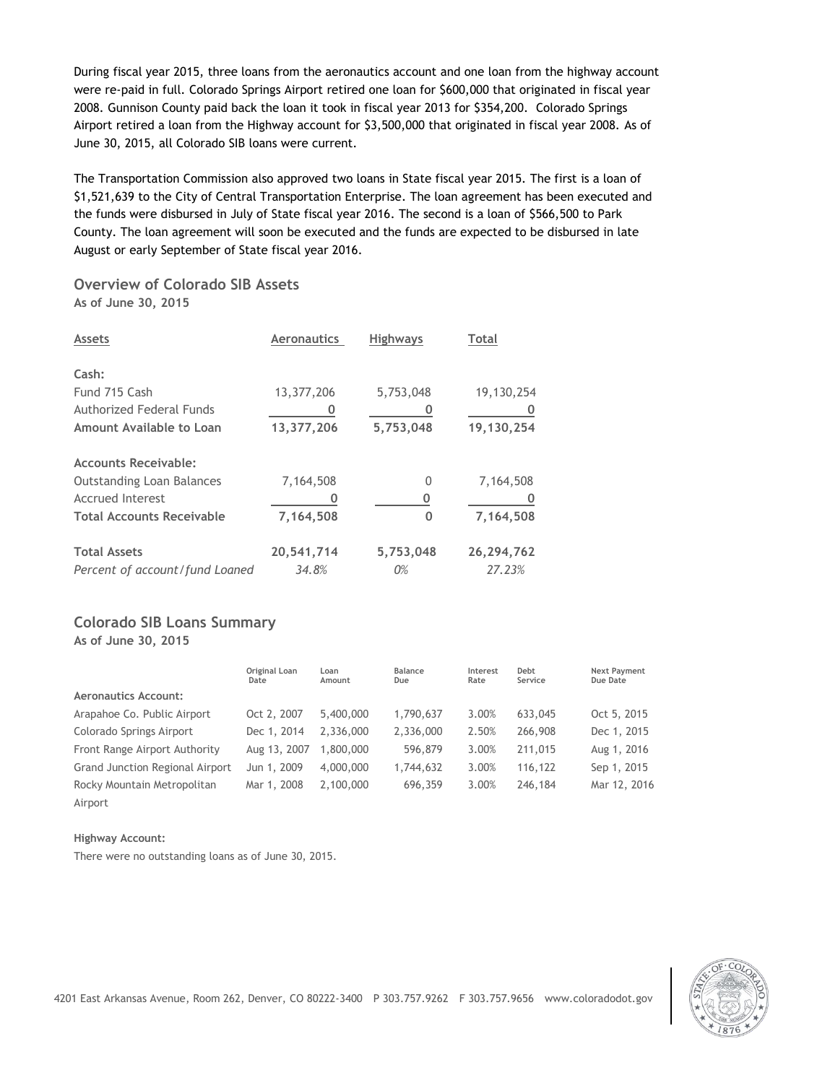During fiscal year 2015, three loans from the aeronautics account and one loan from the highway account were re-paid in full. Colorado Springs Airport retired one loan for \$600,000 that originated in fiscal year 2008. Gunnison County paid back the loan it took in fiscal year 2013 for \$354,200. Colorado Springs Airport retired a loan from the Highway account for \$3,500,000 that originated in fiscal year 2008. As of June 30, 2015, all Colorado SIB loans were current.

The Transportation Commission also approved two loans in State fiscal year 2015. The first is a loan of \$1,521,639 to the City of Central Transportation Enterprise. The loan agreement has been executed and the funds were disbursed in July of State fiscal year 2016. The second is a loan of \$566,500 to Park County. The loan agreement will soon be executed and the funds are expected to be disbursed in late August or early September of State fiscal year 2016.

# **Overview of Colorado SIB Assets As of June 30, 2015**

| <b>Assets</b>                    | <b>Aeronautics</b> | <b>Highways</b> | Total      |
|----------------------------------|--------------------|-----------------|------------|
| Cash:                            |                    |                 |            |
| Fund 715 Cash                    | 13,377,206         | 5,753,048       | 19,130,254 |
| <b>Authorized Federal Funds</b>  |                    |                 |            |
| Amount Available to Loan         | 13,377,206         | 5,753,048       | 19,130,254 |
| <b>Accounts Receivable:</b>      |                    |                 |            |
| <b>Outstanding Loan Balances</b> | 7,164,508          | 0               | 7,164,508  |
| <b>Accrued Interest</b>          |                    | 0               |            |
| <b>Total Accounts Receivable</b> | 7,164,508          | 0               | 7,164,508  |
| <b>Total Assets</b>              | 20,541,714         | 5,753,048       | 26,294,762 |
| Percent of account/fund Loaned   | 34.8%              | 0%              | 27.23%     |

# **Colorado SIB Loans Summary**

**As of June 30, 2015**

|                                        | Original Loan<br>Date | Loan<br>Amount | Balance<br>Due | Interest<br>Rate | Debt<br>Service | <b>Next Payment</b><br>Due Date |
|----------------------------------------|-----------------------|----------------|----------------|------------------|-----------------|---------------------------------|
| <b>Aeronautics Account:</b>            |                       |                |                |                  |                 |                                 |
| Arapahoe Co. Public Airport            | Oct 2, 2007           | 5,400,000      | 1,790,637      | 3.00%            | 633,045         | Oct 5, 2015                     |
| Colorado Springs Airport               | Dec 1, 2014           | 2.336,000      | 2,336,000      | 2.50%            | 266,908         | Dec 1, 2015                     |
| Front Range Airport Authority          | Aug 13, 2007          | 1,800,000      | 596,879        | 3.00%            | 211,015         | Aug 1, 2016                     |
| <b>Grand Junction Regional Airport</b> | Jun 1, 2009           | 4,000,000      | 1,744,632      | 3.00%            | 116,122         | Sep 1, 2015                     |
| Rocky Mountain Metropolitan            | Mar 1, 2008           | 2,100,000      | 696,359        | 3.00%            | 246,184         | Mar 12, 2016                    |
| Airport                                |                       |                |                |                  |                 |                                 |

#### **Highway Account:**

There were no outstanding loans as of June 30, 2015.